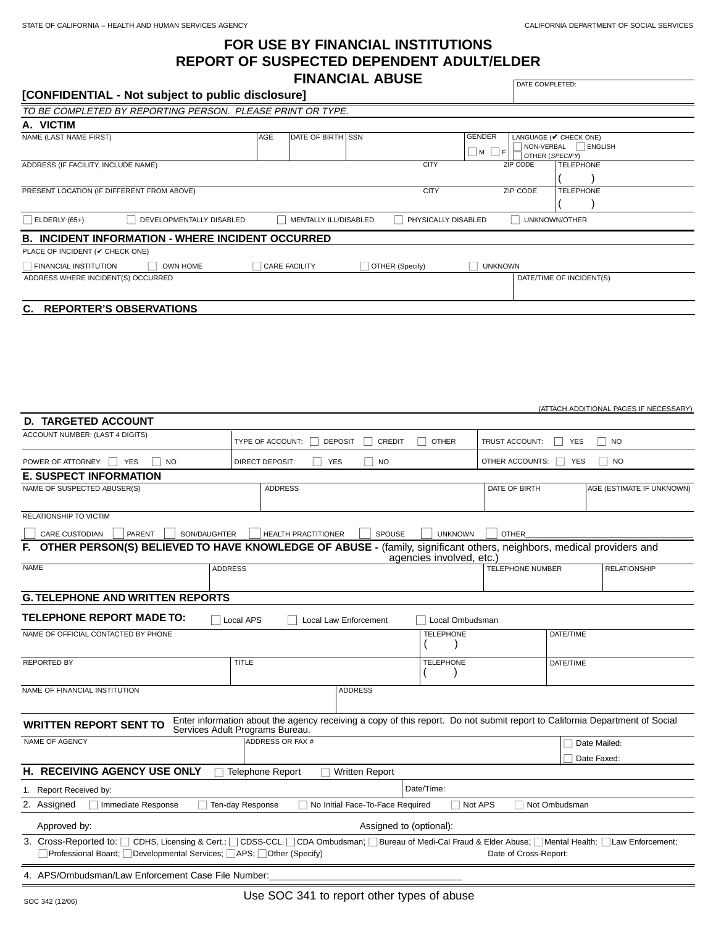(ATTACH ADDITIONAL PAGES IF NECESSARY)

# **FOR USE BY FINANCIAL INSTITUTIONS REPORT OF SUSPECTED DEPENDENT ADULT/ELDER FINANCIAL ABUSE**

DATE COMPLETED:

|                                            | TO BE COMPLETED BY REPORTING PERSON.  PLEASE PRINT OR TYPE. |  |                                         |                          |                                                                                              |                |          |                      |  |
|--------------------------------------------|-------------------------------------------------------------|--|-----------------------------------------|--------------------------|----------------------------------------------------------------------------------------------|----------------|----------|----------------------|--|
| A. VICTIM                                  |                                                             |  |                                         |                          |                                                                                              |                |          |                      |  |
| NAME (LAST NAME FIRST)<br>AGE              |                                                             |  | DATE OF BIRTH SSN                       |                          | <b>GENDER</b><br>LANGUAGE (V CHECK ONE)<br>NON-VERBAL BNGLISH<br>∣∐ м □ ғ<br>OTHER (SPECIFY) |                |          |                      |  |
| ADDRESS (IF FACILITY, INCLUDE NAME)        |                                                             |  |                                         |                          | <b>CITY</b>                                                                                  |                | ZIP CODE | <b>TELEPHONE</b>     |  |
| PRESENT LOCATION (IF DIFFERENT FROM ABOVE) |                                                             |  |                                         |                          | <b>CITY</b>                                                                                  |                | ZIP CODE | <b>TELEPHONE</b>     |  |
| $\Box$ ELDERLY (65+)                       | DEVELOPMENTALLY DISABLED                                    |  | MENTALLY ILL/DISABLED                   |                          | PHYSICALLY DISABLED                                                                          |                |          | <b>UNKNOWN/OTHER</b> |  |
|                                            | <b>B. INCIDENT INFORMATION - WHERE INCIDENT OCCURRED</b>    |  |                                         |                          |                                                                                              |                |          |                      |  |
| PLACE OF INCIDENT (V CHECK ONE)            |                                                             |  |                                         |                          |                                                                                              |                |          |                      |  |
| <b>FINANCIAL INSTITUTION</b>               | OWN HOME                                                    |  | CARE FACILITY<br>$\Box$ OTHER (Specify) |                          |                                                                                              | <b>UNKNOWN</b> |          |                      |  |
| ADDRESS WHERE INCIDENT(S) OCCURRED         |                                                             |  |                                         | DATE/TIME OF INCIDENT(S) |                                                                                              |                |          |                      |  |
| C. REPORTER'S OBSERVATIONS                 |                                                             |  |                                         |                          |                                                                                              |                |          |                      |  |

| <b>D. TARGETED ACCOUNT</b>                                                                                                                                                                                                                                                           |                                                                                                                                                                |                       |                  |                                              |                     |                           |  |  |  |  |  |  |
|--------------------------------------------------------------------------------------------------------------------------------------------------------------------------------------------------------------------------------------------------------------------------------------|----------------------------------------------------------------------------------------------------------------------------------------------------------------|-----------------------|------------------|----------------------------------------------|---------------------|---------------------------|--|--|--|--|--|--|
| ACCOUNT NUMBER: (LAST 4 DIGITS)                                                                                                                                                                                                                                                      | TYPE OF ACCOUNT: $\Box$ DEPOSIT                                                                                                                                | $\Box$ CREDIT         | I OTHER          | $\mathsf{L}$<br>TRUST ACCOUNT:<br><b>YES</b> |                     | $\Box$ NO                 |  |  |  |  |  |  |
| POWER OF ATTORNEY: $\Box$ YES<br><b>TI</b> NO                                                                                                                                                                                                                                        | $\Box$<br>YES<br>DIRECT DEPOSIT:                                                                                                                               | $\vert$ NO            |                  | OTHER ACCOUNTS: U YES                        |                     | $\Box$ NO                 |  |  |  |  |  |  |
| <b>E. SUSPECT INFORMATION</b>                                                                                                                                                                                                                                                        |                                                                                                                                                                |                       |                  |                                              |                     |                           |  |  |  |  |  |  |
| NAME OF SUSPECTED ABUSER(S)                                                                                                                                                                                                                                                          | <b>ADDRESS</b>                                                                                                                                                 |                       |                  | DATE OF BIRTH                                |                     | AGE (ESTIMATE IF UNKNOWN) |  |  |  |  |  |  |
| RELATIONSHIP TO VICTIM                                                                                                                                                                                                                                                               |                                                                                                                                                                |                       |                  |                                              |                     |                           |  |  |  |  |  |  |
| $\mathbf{1}$<br>$\Box$ PARENT<br>SON/DAUGHTER<br>CARE CUSTODIAN<br>$\Box$ HEALTH PRACTITIONER<br>SPOUSE<br><b>UNKNOWN</b><br><b>OTHER</b>                                                                                                                                            |                                                                                                                                                                |                       |                  |                                              |                     |                           |  |  |  |  |  |  |
| OTHER PERSON(S) BELIEVED TO HAVE KNOWLEDGE OF ABUSE - (family, significant others, neighbors, medical providers and<br>F.<br>agencies involved, etc.)                                                                                                                                |                                                                                                                                                                |                       |                  |                                              |                     |                           |  |  |  |  |  |  |
| <b>NAME</b><br><b>ADDRESS</b>                                                                                                                                                                                                                                                        |                                                                                                                                                                |                       | TELEPHONE NUMBER |                                              | <b>RELATIONSHIP</b> |                           |  |  |  |  |  |  |
| <b>G. TELEPHONE AND WRITTEN REPORTS</b>                                                                                                                                                                                                                                              |                                                                                                                                                                |                       |                  |                                              |                     |                           |  |  |  |  |  |  |
| <b>TELEPHONE REPORT MADE TO:</b><br>Local APS<br><b>Local Law Enforcement</b><br>Local Ombudsman                                                                                                                                                                                     |                                                                                                                                                                |                       |                  |                                              |                     |                           |  |  |  |  |  |  |
| NAME OF OFFICIAL CONTACTED BY PHONE                                                                                                                                                                                                                                                  |                                                                                                                                                                | <b>TELEPHONE</b>      |                  | DATE/TIME                                    |                     |                           |  |  |  |  |  |  |
| <b>REPORTED BY</b>                                                                                                                                                                                                                                                                   | <b>TITLE</b>                                                                                                                                                   |                       |                  |                                              | DATE/TIME           |                           |  |  |  |  |  |  |
| NAME OF FINANCIAL INSTITUTION                                                                                                                                                                                                                                                        |                                                                                                                                                                | <b>ADDRESS</b>        |                  |                                              |                     |                           |  |  |  |  |  |  |
| <b>WRITTEN REPORT SENT TO</b>                                                                                                                                                                                                                                                        | Enter information about the agency receiving a copy of this report. Do not submit report to California Department of Social<br>Services Adult Programs Bureau. |                       |                  |                                              |                     |                           |  |  |  |  |  |  |
| NAME OF AGENCY                                                                                                                                                                                                                                                                       | ADDRESS OR FAX #                                                                                                                                               |                       |                  |                                              | $\Box$ Date Mailed: |                           |  |  |  |  |  |  |
|                                                                                                                                                                                                                                                                                      |                                                                                                                                                                |                       |                  |                                              |                     | Date Faxed:               |  |  |  |  |  |  |
| H. RECEIVING AGENCY USE ONLY                                                                                                                                                                                                                                                         | Telephone Report                                                                                                                                               | $\Box$ Written Report |                  |                                              |                     |                           |  |  |  |  |  |  |
| 1. Report Received by:                                                                                                                                                                                                                                                               | Date/Time:                                                                                                                                                     |                       |                  |                                              |                     |                           |  |  |  |  |  |  |
| No Initial Face-To-Face Required<br>Not Ombudsman<br>2. Assigned<br>Immediate Response<br>Ten-day Response<br>$\Box$ Not APS                                                                                                                                                         |                                                                                                                                                                |                       |                  |                                              |                     |                           |  |  |  |  |  |  |
| Approved by:                                                                                                                                                                                                                                                                         | Assigned to (optional):                                                                                                                                        |                       |                  |                                              |                     |                           |  |  |  |  |  |  |
| 3. Cross-Reported to: □ CDHS, Licensing & Cert.; □ CDSS-CCL; □ CDA Ombudsman; □ Bureau of Medi-Cal Fraud & Elder Abuse; □ Mental Health; □ Law Enforcement;<br>$\Box$ Professional Board; $\Box$ Developmental Services; $\Box$ APS; $\Box$ Other (Specify)<br>Date of Cross-Report: |                                                                                                                                                                |                       |                  |                                              |                     |                           |  |  |  |  |  |  |
| 4. APS/Ombudsman/Law Enforcement Case File Number:                                                                                                                                                                                                                                   |                                                                                                                                                                |                       |                  |                                              |                     |                           |  |  |  |  |  |  |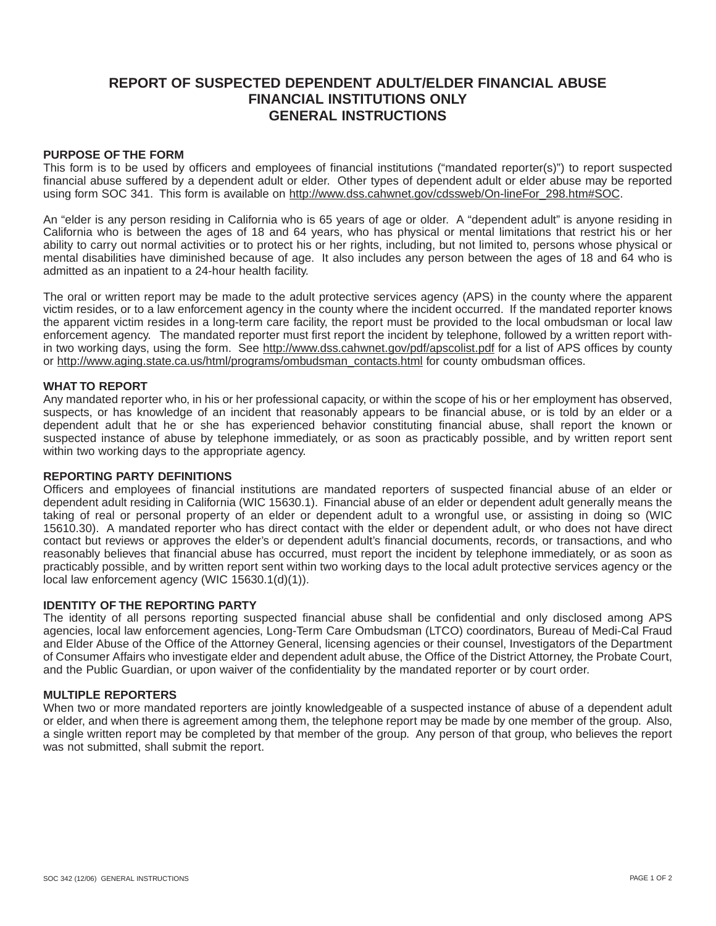# **REPORT OF SUSPECTED DEPENDENT ADULT/ELDER FINANCIAL ABUSE FINANCIAL INSTITUTIONS ONLY GENERAL INSTRUCTIONS**

### **PURPOSE OF THE FORM**

This form is to be used by officers and employees of financial institutions ("mandated reporter(s)") to report suspected financial abuse suffered by a dependent adult or elder. Other types of dependent adult or elder abuse may be reported using form SOC 341. This form is available on http://www.dss.cahwnet.gov/cdssweb/On-lineFor\_298.htm#SOC.

An "elder is any person residing in California who is 65 years of age or older. A "dependent adult" is anyone residing in California who is between the ages of 18 and 64 years, who has physical or mental limitations that restrict his or her ability to carry out normal activities or to protect his or her rights, including, but not limited to, persons whose physical or mental disabilities have diminished because of age. It also includes any person between the ages of 18 and 64 who is admitted as an inpatient to a 24-hour health facility.

The oral or written report may be made to the adult protective services agency (APS) in the county where the apparent victim resides, or to a law enforcement agency in the county where the incident occurred. If the mandated reporter knows the apparent victim resides in a long-term care facility, the report must be provided to the local ombudsman or local law enforcement agency. The mandated reporter must first report the incident by telephone, followed by a written report within two working days, using the form. See http://www.dss.cahwnet.gov/pdf/apscolist.pdf for a list of APS offices by county or http://www.aging.state.ca.us/html/programs/ombudsman\_contacts.html for county ombudsman offices.

#### **WHAT TO REPORT**

Any mandated reporter who, in his or her professional capacity, or within the scope of his or her employment has observed, suspects, or has knowledge of an incident that reasonably appears to be financial abuse, or is told by an elder or a dependent adult that he or she has experienced behavior constituting financial abuse, shall report the known or suspected instance of abuse by telephone immediately, or as soon as practicably possible, and by written report sent within two working days to the appropriate agency.

#### **REPORTING PARTY DEFINITIONS**

Officers and employees of financial institutions are mandated reporters of suspected financial abuse of an elder or dependent adult residing in California (WIC 15630.1). Financial abuse of an elder or dependent adult generally means the taking of real or personal property of an elder or dependent adult to a wrongful use, or assisting in doing so (WIC 15610.30). A mandated reporter who has direct contact with the elder or dependent adult, or who does not have direct contact but reviews or approves the elder's or dependent adult's financial documents, records, or transactions, and who reasonably believes that financial abuse has occurred, must report the incident by telephone immediately, or as soon as practicably possible, and by written report sent within two working days to the local adult protective services agency or the local law enforcement agency (WIC 15630.1(d)(1)).

### **IDENTITY OF THE REPORTING PARTY**

The identity of all persons reporting suspected financial abuse shall be confidential and only disclosed among APS agencies, local law enforcement agencies, Long-Term Care Ombudsman (LTCO) coordinators, Bureau of Medi-Cal Fraud and Elder Abuse of the Office of the Attorney General, licensing agencies or their counsel, Investigators of the Department of Consumer Affairs who investigate elder and dependent adult abuse, the Office of the District Attorney, the Probate Court, and the Public Guardian, or upon waiver of the confidentiality by the mandated reporter or by court order.

#### **MULTIPLE REPORTERS**

When two or more mandated reporters are jointly knowledgeable of a suspected instance of abuse of a dependent adult or elder, and when there is agreement among them, the telephone report may be made by one member of the group. Also, a single written report may be completed by that member of the group. Any person of that group, who believes the report was not submitted, shall submit the report.